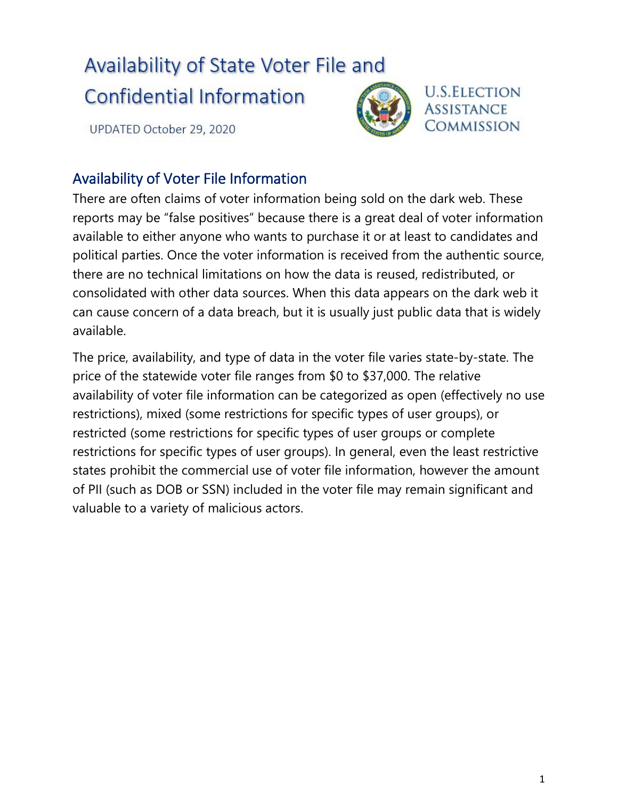## Availability of State Voter File and

## **Confidential Information**

UPDATED October 29, 2020



## **U.S.ELECTION ASSISTANCE COMMISSION**

## Availability of Voter File Information

There are often claims of voter information being sold on the dark web. These reports may be "false positives" because there is a great deal of voter information available to either anyone who wants to purchase it or at least to candidates and political parties. Once the voter information is received from the authentic source, there are no technical limitations on how the data is reused, redistributed, or consolidated with other data sources. When this data appears on the dark web it can cause concern of a data breach, but it is usually just public data that is widely available.

The price, availability, and type of data in the voter file varies state-by-state. The price of the statewide voter file ranges from \$0 to \$37,000. The relative availability of voter file information can be categorized as open (effectively no use restrictions), mixed (some restrictions for specific types of user groups), or restricted (some restrictions for specific types of user groups or complete restrictions for specific types of user groups). In general, even the least restrictive states prohibit the commercial use of voter file information, however the amount of PII (such as DOB or SSN) included in the voter file may remain significant and valuable to a variety of malicious actors.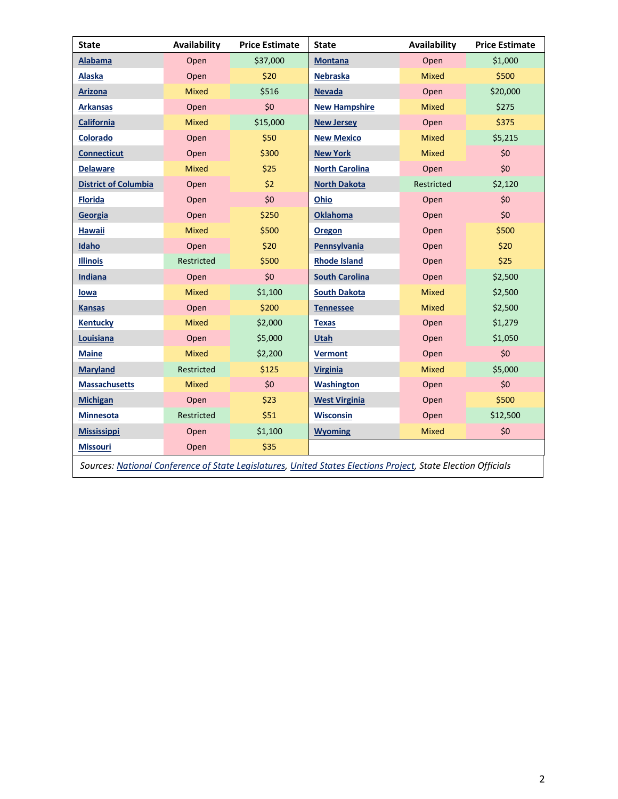| <b>State</b>                                                                                                  | Availability | <b>Price Estimate</b> | <b>State</b>          | <b>Availability</b> | <b>Price Estimate</b> |
|---------------------------------------------------------------------------------------------------------------|--------------|-----------------------|-----------------------|---------------------|-----------------------|
| <b>Alabama</b>                                                                                                | Open         | \$37,000              | <b>Montana</b>        | Open                | \$1,000               |
| Alaska                                                                                                        | Open         | \$20                  | <b>Nebraska</b>       | <b>Mixed</b>        | \$500                 |
| <b>Arizona</b>                                                                                                | Mixed        | \$516                 | <b>Nevada</b>         | Open                | \$20,000              |
| <b>Arkansas</b>                                                                                               | Open         | \$0                   | <b>New Hampshire</b>  | <b>Mixed</b>        | \$275                 |
| <b>California</b>                                                                                             | Mixed        | \$15,000              | <b>New Jersey</b>     | Open                | \$375                 |
| Colorado                                                                                                      | Open         | \$50                  | <b>New Mexico</b>     | <b>Mixed</b>        | \$5,215               |
| <b>Connecticut</b>                                                                                            | Open         | \$300                 | <b>New York</b>       | <b>Mixed</b>        | \$0                   |
| <b>Delaware</b>                                                                                               | <b>Mixed</b> | \$25                  | <b>North Carolina</b> | Open                | \$0                   |
| <b>District of Columbia</b>                                                                                   | Open         | \$2                   | <b>North Dakota</b>   | Restricted          | \$2,120               |
| <b>Florida</b>                                                                                                | Open         | \$0                   | Ohio                  | Open                | \$0                   |
| Georgia                                                                                                       | Open         | \$250                 | <b>Oklahoma</b>       | Open                | \$0                   |
| <b>Hawaii</b>                                                                                                 | <b>Mixed</b> | \$500                 | <b>Oregon</b>         | Open                | \$500                 |
| Idaho                                                                                                         | Open         | \$20                  | Pennsylvania          | Open                | \$20                  |
| <b>Illinois</b>                                                                                               | Restricted   | \$500                 | <b>Rhode Island</b>   | Open                | \$25                  |
| Indiana                                                                                                       | Open         | \$0                   | <b>South Carolina</b> | Open                | \$2,500               |
| lowa                                                                                                          | <b>Mixed</b> | \$1,100               | <b>South Dakota</b>   | Mixed               | \$2,500               |
| <b>Kansas</b>                                                                                                 | Open         | \$200                 | <b>Tennessee</b>      | <b>Mixed</b>        | \$2,500               |
| <b>Kentucky</b>                                                                                               | <b>Mixed</b> | \$2,000               | <b>Texas</b>          | Open                | \$1,279               |
| Louisiana                                                                                                     | Open         | \$5,000               | <b>Utah</b>           | Open                | \$1,050               |
| <b>Maine</b>                                                                                                  | <b>Mixed</b> | \$2,200               | <b>Vermont</b>        | Open                | \$0                   |
| <b>Maryland</b>                                                                                               | Restricted   | \$125                 | <b>Virginia</b>       | <b>Mixed</b>        | \$5,000               |
| <b>Massachusetts</b>                                                                                          | <b>Mixed</b> | \$0                   | Washington            | Open                | \$0                   |
| <b>Michigan</b>                                                                                               | Open         | \$23                  | <b>West Virginia</b>  | Open                | \$500                 |
| <b>Minnesota</b>                                                                                              | Restricted   | \$51                  | <b>Wisconsin</b>      | Open                | \$12,500              |
| <b>Mississippi</b>                                                                                            | Open         | \$1,100               | <b>Wyoming</b>        | <b>Mixed</b>        | \$0                   |
| <b>Missouri</b>                                                                                               | Open         | \$35                  |                       |                     |                       |
| Sources: National Conference of State Legislatures, United States Elections Project, State Election Officials |              |                       |                       |                     |                       |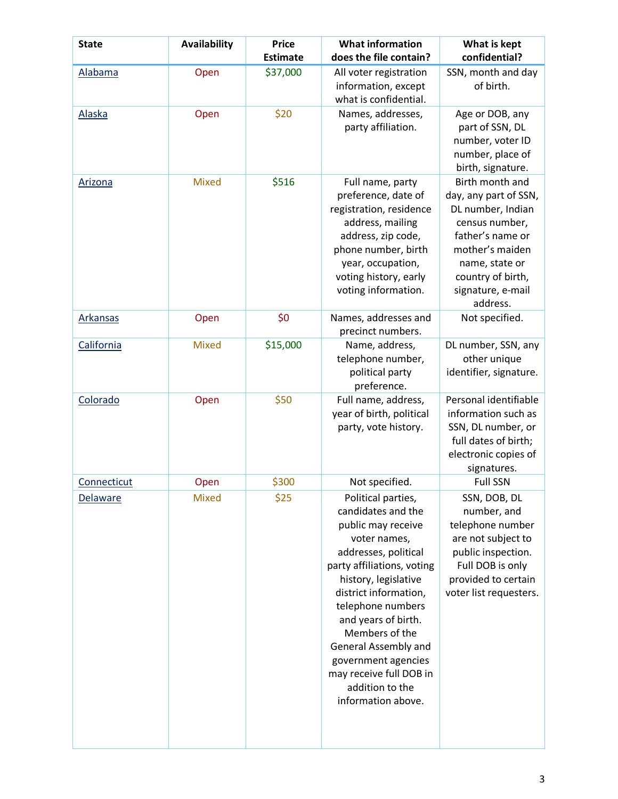| <b>State</b>    | <b>Availability</b> | <b>Price</b><br><b>Estimate</b> | <b>What information</b><br>does the file contain?                                                                                                                                                                                                                                                                                                                      | What is kept<br>confidential?                                                                                                                                                                  |
|-----------------|---------------------|---------------------------------|------------------------------------------------------------------------------------------------------------------------------------------------------------------------------------------------------------------------------------------------------------------------------------------------------------------------------------------------------------------------|------------------------------------------------------------------------------------------------------------------------------------------------------------------------------------------------|
| Alabama         | Open                | \$37,000                        | All voter registration<br>information, except<br>what is confidential.                                                                                                                                                                                                                                                                                                 | SSN, month and day<br>of birth.                                                                                                                                                                |
| <b>Alaska</b>   | Open                | \$20                            | Names, addresses,<br>party affiliation.                                                                                                                                                                                                                                                                                                                                | Age or DOB, any<br>part of SSN, DL<br>number, voter ID<br>number, place of<br>birth, signature.                                                                                                |
| Arizona         | <b>Mixed</b>        | \$516                           | Full name, party<br>preference, date of<br>registration, residence<br>address, mailing<br>address, zip code,<br>phone number, birth<br>year, occupation,<br>voting history, early<br>voting information.                                                                                                                                                               | Birth month and<br>day, any part of SSN,<br>DL number, Indian<br>census number,<br>father's name or<br>mother's maiden<br>name, state or<br>country of birth,<br>signature, e-mail<br>address. |
| <b>Arkansas</b> | Open                | \$0                             | Names, addresses and<br>precinct numbers.                                                                                                                                                                                                                                                                                                                              | Not specified.                                                                                                                                                                                 |
| California      | <b>Mixed</b>        | \$15,000                        | Name, address,<br>telephone number,<br>political party<br>preference.                                                                                                                                                                                                                                                                                                  | DL number, SSN, any<br>other unique<br>identifier, signature.                                                                                                                                  |
| Colorado        | Open                | \$50                            | Full name, address,<br>year of birth, political<br>party, vote history.                                                                                                                                                                                                                                                                                                | Personal identifiable<br>information such as<br>SSN, DL number, or<br>full dates of birth;<br>electronic copies of<br>signatures.                                                              |
| Connecticut     | Open                | \$300                           | Not specified.                                                                                                                                                                                                                                                                                                                                                         | <b>Full SSN</b>                                                                                                                                                                                |
| Delaware        | Mixed               | \$25                            | Political parties,<br>candidates and the<br>public may receive<br>voter names,<br>addresses, political<br>party affiliations, voting<br>history, legislative<br>district information,<br>telephone numbers<br>and years of birth.<br>Members of the<br>General Assembly and<br>government agencies<br>may receive full DOB in<br>addition to the<br>information above. | SSN, DOB, DL<br>number, and<br>telephone number<br>are not subject to<br>public inspection.<br>Full DOB is only<br>provided to certain<br>voter list requesters.                               |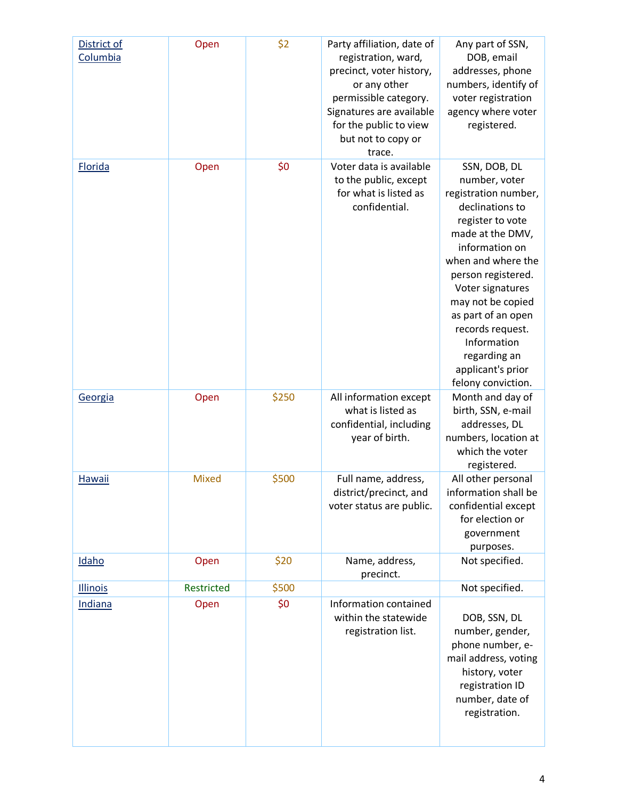| District of<br>Columbia | Open         | \$2   | Party affiliation, date of<br>registration, ward,<br>precinct, voter history,<br>or any other<br>permissible category.<br>Signatures are available<br>for the public to view<br>but not to copy or<br>trace. | Any part of SSN,<br>DOB, email<br>addresses, phone<br>numbers, identify of<br>voter registration<br>agency where voter<br>registered.                                                                                                                                                                                                       |
|-------------------------|--------------|-------|--------------------------------------------------------------------------------------------------------------------------------------------------------------------------------------------------------------|---------------------------------------------------------------------------------------------------------------------------------------------------------------------------------------------------------------------------------------------------------------------------------------------------------------------------------------------|
| Florida                 | Open         | \$0   | Voter data is available<br>to the public, except<br>for what is listed as<br>confidential.                                                                                                                   | SSN, DOB, DL<br>number, voter<br>registration number,<br>declinations to<br>register to vote<br>made at the DMV,<br>information on<br>when and where the<br>person registered.<br>Voter signatures<br>may not be copied<br>as part of an open<br>records request.<br>Information<br>regarding an<br>applicant's prior<br>felony conviction. |
| Georgia                 | Open         | \$250 | All information except<br>what is listed as<br>confidential, including<br>year of birth.                                                                                                                     | Month and day of<br>birth, SSN, e-mail<br>addresses, DL<br>numbers, location at<br>which the voter<br>registered.                                                                                                                                                                                                                           |
| <b>Hawaii</b>           | <b>Mixed</b> | \$500 | Full name, address,<br>district/precinct, and<br>voter status are public.                                                                                                                                    | All other personal<br>information shall be<br>confidential except<br>for election or<br>government<br>purposes.                                                                                                                                                                                                                             |
| Idaho                   | Open         | \$20  | Name, address,<br>precinct.                                                                                                                                                                                  | Not specified.                                                                                                                                                                                                                                                                                                                              |
| <b>Illinois</b>         | Restricted   | \$500 |                                                                                                                                                                                                              | Not specified.                                                                                                                                                                                                                                                                                                                              |
| <b>Indiana</b>          | Open         | \$0   | Information contained<br>within the statewide<br>registration list.                                                                                                                                          | DOB, SSN, DL<br>number, gender,<br>phone number, e-<br>mail address, voting<br>history, voter<br>registration ID<br>number, date of<br>registration.                                                                                                                                                                                        |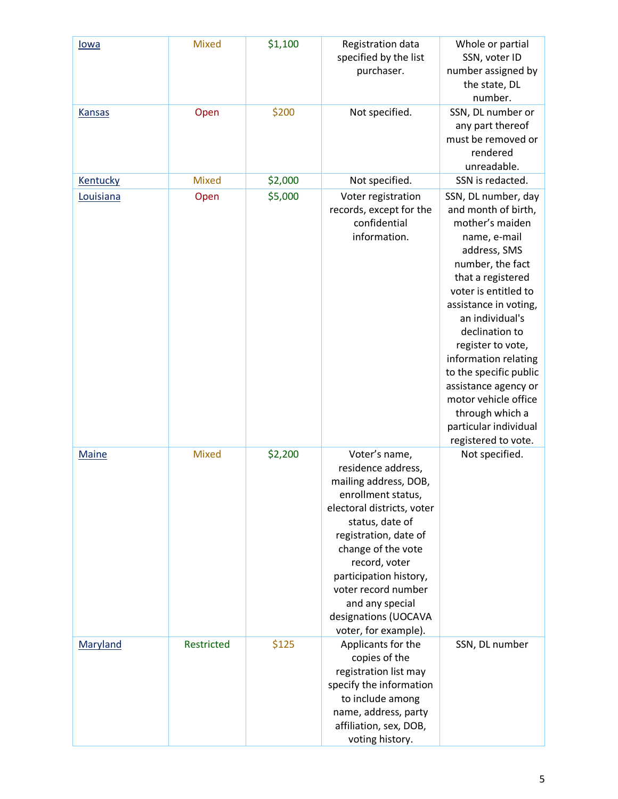| lowa          | <b>Mixed</b> | \$1,100 | Registration data<br>specified by the list<br>purchaser.                                                                                                                                                                                                                                                                | Whole or partial<br>SSN, voter ID<br>number assigned by<br>the state, DL<br>number.                                                                                                                                                                                                                                                                                                                                    |
|---------------|--------------|---------|-------------------------------------------------------------------------------------------------------------------------------------------------------------------------------------------------------------------------------------------------------------------------------------------------------------------------|------------------------------------------------------------------------------------------------------------------------------------------------------------------------------------------------------------------------------------------------------------------------------------------------------------------------------------------------------------------------------------------------------------------------|
| <b>Kansas</b> | Open         | \$200   | Not specified.                                                                                                                                                                                                                                                                                                          | SSN, DL number or<br>any part thereof<br>must be removed or<br>rendered<br>unreadable.                                                                                                                                                                                                                                                                                                                                 |
| Kentucky      | <b>Mixed</b> | \$2,000 | Not specified.                                                                                                                                                                                                                                                                                                          | SSN is redacted.                                                                                                                                                                                                                                                                                                                                                                                                       |
| Louisiana     | Open         | \$5,000 | Voter registration<br>records, except for the<br>confidential<br>information.                                                                                                                                                                                                                                           | SSN, DL number, day<br>and month of birth,<br>mother's maiden<br>name, e-mail<br>address, SMS<br>number, the fact<br>that a registered<br>voter is entitled to<br>assistance in voting,<br>an individual's<br>declination to<br>register to vote,<br>information relating<br>to the specific public<br>assistance agency or<br>motor vehicle office<br>through which a<br>particular individual<br>registered to vote. |
| <b>Maine</b>  | <b>Mixed</b> | \$2,200 | Voter's name,<br>residence address,<br>mailing address, DOB,<br>enrollment status,<br>electoral districts, voter<br>status, date of<br>registration, date of<br>change of the vote<br>record, voter<br>participation history,<br>voter record number<br>and any special<br>designations (UOCAVA<br>voter, for example). | Not specified.                                                                                                                                                                                                                                                                                                                                                                                                         |
| Maryland      | Restricted   | \$125   | Applicants for the<br>copies of the<br>registration list may<br>specify the information<br>to include among<br>name, address, party<br>affiliation, sex, DOB,<br>voting history.                                                                                                                                        | SSN, DL number                                                                                                                                                                                                                                                                                                                                                                                                         |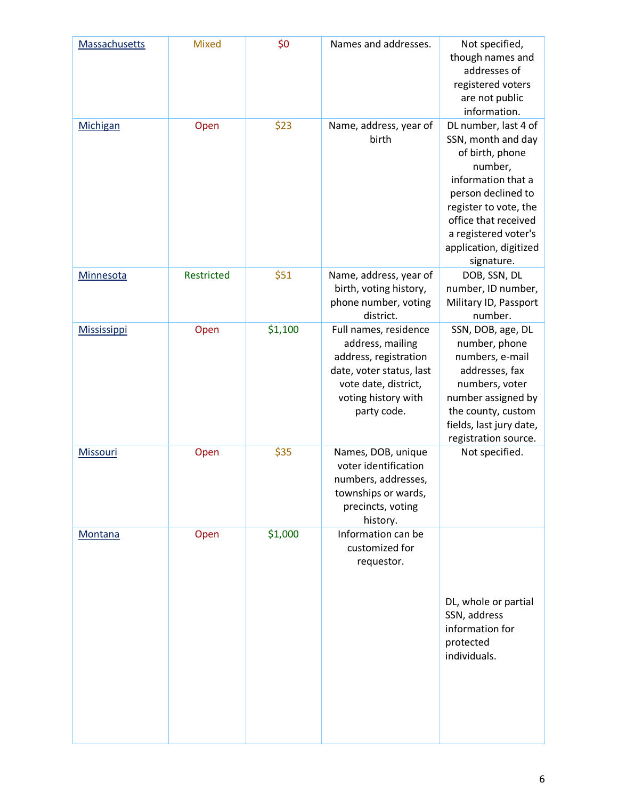| Massachusetts      | <b>Mixed</b> | \$0     | Names and addresses.                                                                                                                                         | Not specified,<br>though names and<br>addresses of<br>registered voters<br>are not public<br>information.                                                                                                                             |
|--------------------|--------------|---------|--------------------------------------------------------------------------------------------------------------------------------------------------------------|---------------------------------------------------------------------------------------------------------------------------------------------------------------------------------------------------------------------------------------|
| Michigan           | Open         | \$23    | Name, address, year of<br>birth                                                                                                                              | DL number, last 4 of<br>SSN, month and day<br>of birth, phone<br>number,<br>information that a<br>person declined to<br>register to vote, the<br>office that received<br>a registered voter's<br>application, digitized<br>signature. |
| Minnesota          | Restricted   | \$51    | Name, address, year of<br>birth, voting history,<br>phone number, voting<br>district.                                                                        | DOB, SSN, DL<br>number, ID number,<br>Military ID, Passport<br>number.                                                                                                                                                                |
| <b>Mississippi</b> | Open         | \$1,100 | Full names, residence<br>address, mailing<br>address, registration<br>date, voter status, last<br>vote date, district,<br>voting history with<br>party code. | SSN, DOB, age, DL<br>number, phone<br>numbers, e-mail<br>addresses, fax<br>numbers, voter<br>number assigned by<br>the county, custom<br>fields, last jury date,<br>registration source.                                              |
| <b>Missouri</b>    | Open         | \$35    | Names, DOB, unique<br>voter identification<br>numbers, addresses,<br>townships or wards,<br>precincts, voting<br>history.                                    | Not specified.                                                                                                                                                                                                                        |
| <b>Montana</b>     | Open         | \$1,000 | Information can be<br>customized for<br>requestor.                                                                                                           | DL, whole or partial<br>SSN, address<br>information for<br>protected<br>individuals.                                                                                                                                                  |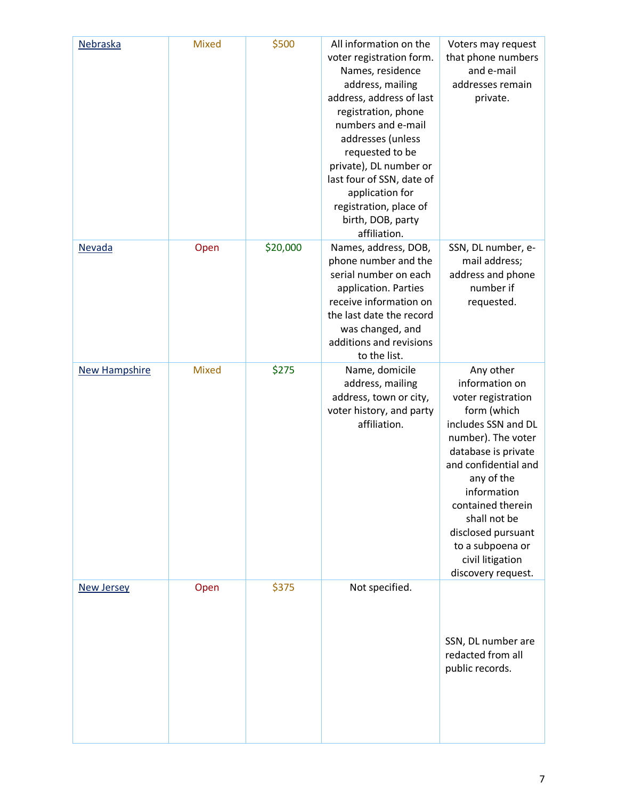| Nebraska             | <b>Mixed</b> | \$500    | All information on the<br>voter registration form.<br>Names, residence<br>address, mailing<br>address, address of last<br>registration, phone<br>numbers and e-mail<br>addresses (unless<br>requested to be<br>private), DL number or<br>last four of SSN, date of<br>application for<br>registration, place of<br>birth, DOB, party<br>affiliation. | Voters may request<br>that phone numbers<br>and e-mail<br>addresses remain<br>private.                                                                                                                                                                                                                             |
|----------------------|--------------|----------|------------------------------------------------------------------------------------------------------------------------------------------------------------------------------------------------------------------------------------------------------------------------------------------------------------------------------------------------------|--------------------------------------------------------------------------------------------------------------------------------------------------------------------------------------------------------------------------------------------------------------------------------------------------------------------|
| Nevada               | Open         | \$20,000 | Names, address, DOB,<br>phone number and the<br>serial number on each<br>application. Parties<br>receive information on<br>the last date the record<br>was changed, and<br>additions and revisions<br>to the list.                                                                                                                                   | SSN, DL number, e-<br>mail address;<br>address and phone<br>number if<br>requested.                                                                                                                                                                                                                                |
| <b>New Hampshire</b> | <b>Mixed</b> | \$275    | Name, domicile<br>address, mailing<br>address, town or city,<br>voter history, and party<br>affiliation.                                                                                                                                                                                                                                             | Any other<br>information on<br>voter registration<br>form (which<br>includes SSN and DL<br>number). The voter<br>database is private<br>and confidential and<br>any of the<br>information<br>contained therein<br>shall not be<br>disclosed pursuant<br>to a subpoena or<br>civil litigation<br>discovery request. |
| <b>New Jersey</b>    | Open         | \$375    | Not specified.                                                                                                                                                                                                                                                                                                                                       | SSN, DL number are<br>redacted from all<br>public records.                                                                                                                                                                                                                                                         |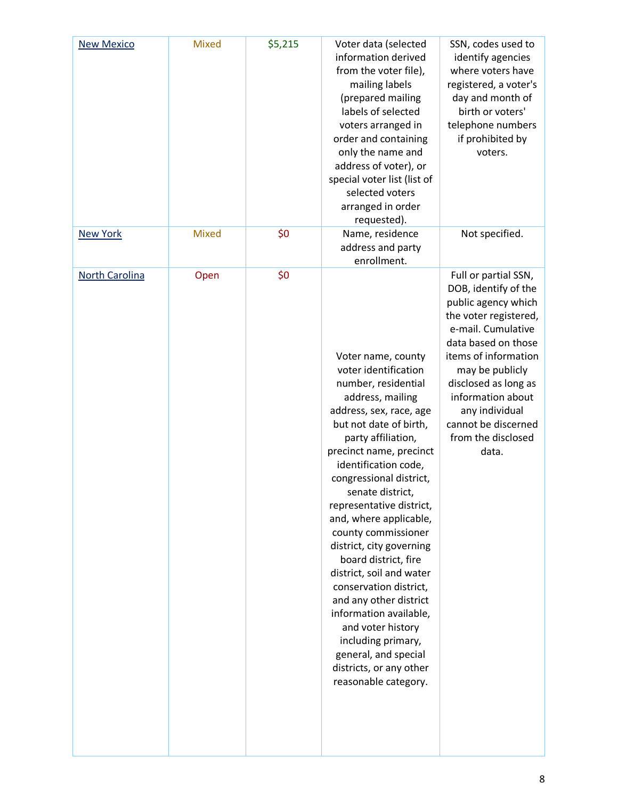| <b>New Mexico</b> | <b>Mixed</b> | \$5,215 | Voter data (selected<br>information derived<br>from the voter file),<br>mailing labels<br>(prepared mailing<br>labels of selected<br>voters arranged in<br>order and containing<br>only the name and<br>address of voter), or<br>special voter list (list of<br>selected voters<br>arranged in order<br>requested).                                                                                                                                                                                                                                                                                                                 | SSN, codes used to<br>identify agencies<br>where voters have<br>registered, a voter's<br>day and month of<br>birth or voters'<br>telephone numbers<br>if prohibited by<br>voters.                                                                                                                         |
|-------------------|--------------|---------|-------------------------------------------------------------------------------------------------------------------------------------------------------------------------------------------------------------------------------------------------------------------------------------------------------------------------------------------------------------------------------------------------------------------------------------------------------------------------------------------------------------------------------------------------------------------------------------------------------------------------------------|-----------------------------------------------------------------------------------------------------------------------------------------------------------------------------------------------------------------------------------------------------------------------------------------------------------|
| <b>New York</b>   | <b>Mixed</b> | \$0     | Name, residence<br>address and party<br>enrollment.                                                                                                                                                                                                                                                                                                                                                                                                                                                                                                                                                                                 | Not specified.                                                                                                                                                                                                                                                                                            |
| North Carolina    | Open         | \$0     | Voter name, county<br>voter identification<br>number, residential<br>address, mailing<br>address, sex, race, age<br>but not date of birth,<br>party affiliation,<br>precinct name, precinct<br>identification code,<br>congressional district,<br>senate district,<br>representative district,<br>and, where applicable,<br>county commissioner<br>district, city governing<br>board district, fire<br>district, soil and water<br>conservation district,<br>and any other district<br>information available,<br>and voter history<br>including primary,<br>general, and special<br>districts, or any other<br>reasonable category. | Full or partial SSN,<br>DOB, identify of the<br>public agency which<br>the voter registered,<br>e-mail. Cumulative<br>data based on those<br>items of information<br>may be publicly<br>disclosed as long as<br>information about<br>any individual<br>cannot be discerned<br>from the disclosed<br>data. |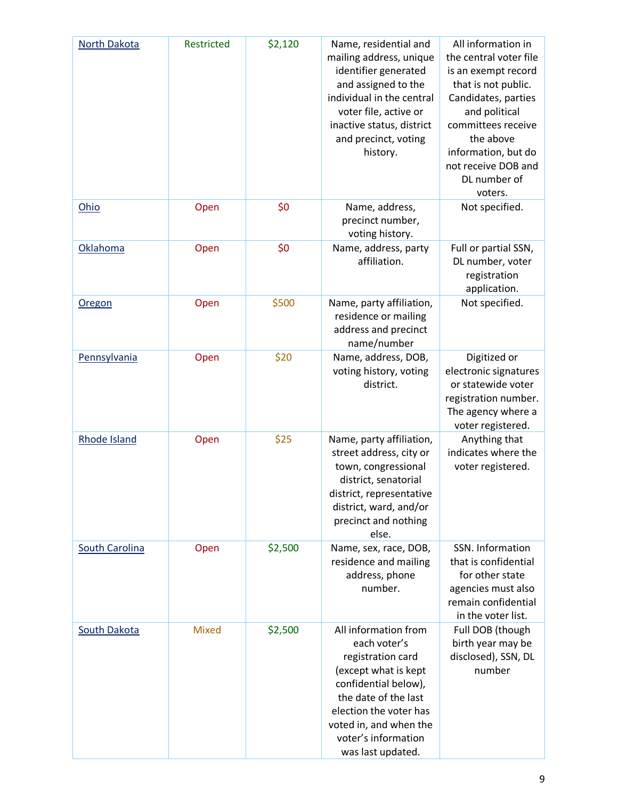| North Dakota          | Restricted   | \$2,120 | Name, residential and<br>mailing address, unique<br>identifier generated<br>and assigned to the<br>individual in the central<br>voter file, active or<br>inactive status, district<br>and precinct, voting<br>history.            | All information in<br>the central voter file<br>is an exempt record<br>that is not public.<br>Candidates, parties<br>and political<br>committees receive<br>the above<br>information, but do<br>not receive DOB and<br>DL number of<br>voters. |
|-----------------------|--------------|---------|-----------------------------------------------------------------------------------------------------------------------------------------------------------------------------------------------------------------------------------|------------------------------------------------------------------------------------------------------------------------------------------------------------------------------------------------------------------------------------------------|
| Ohio                  | Open         | \$0     | Name, address,<br>precinct number,<br>voting history.                                                                                                                                                                             | Not specified.                                                                                                                                                                                                                                 |
| Oklahoma              | Open         | \$0     | Name, address, party<br>affiliation.                                                                                                                                                                                              | Full or partial SSN,<br>DL number, voter<br>registration<br>application.                                                                                                                                                                       |
| <b>Oregon</b>         | Open         | \$500   | Name, party affiliation,<br>residence or mailing<br>address and precinct<br>name/number                                                                                                                                           | Not specified.                                                                                                                                                                                                                                 |
| Pennsylvania          | Open         | \$20    | Name, address, DOB,<br>voting history, voting<br>district.                                                                                                                                                                        | Digitized or<br>electronic signatures<br>or statewide voter<br>registration number.<br>The agency where a<br>voter registered.                                                                                                                 |
| <b>Rhode Island</b>   | Open         | \$25    | Name, party affiliation,<br>street address, city or<br>town, congressional<br>district, senatorial<br>district, representative<br>district, ward, and/or<br>precinct and nothing<br>else.                                         | Anything that<br>indicates where the<br>voter registered.                                                                                                                                                                                      |
| <b>South Carolina</b> | Open         | \$2,500 | Name, sex, race, DOB,<br>residence and mailing<br>address, phone<br>number.                                                                                                                                                       | SSN. Information<br>that is confidential<br>for other state<br>agencies must also<br>remain confidential<br>in the voter list.                                                                                                                 |
| <b>South Dakota</b>   | <b>Mixed</b> | \$2,500 | All information from<br>each voter's<br>registration card<br>(except what is kept<br>confidential below),<br>the date of the last<br>election the voter has<br>voted in, and when the<br>voter's information<br>was last updated. | Full DOB (though<br>birth year may be<br>disclosed), SSN, DL<br>number                                                                                                                                                                         |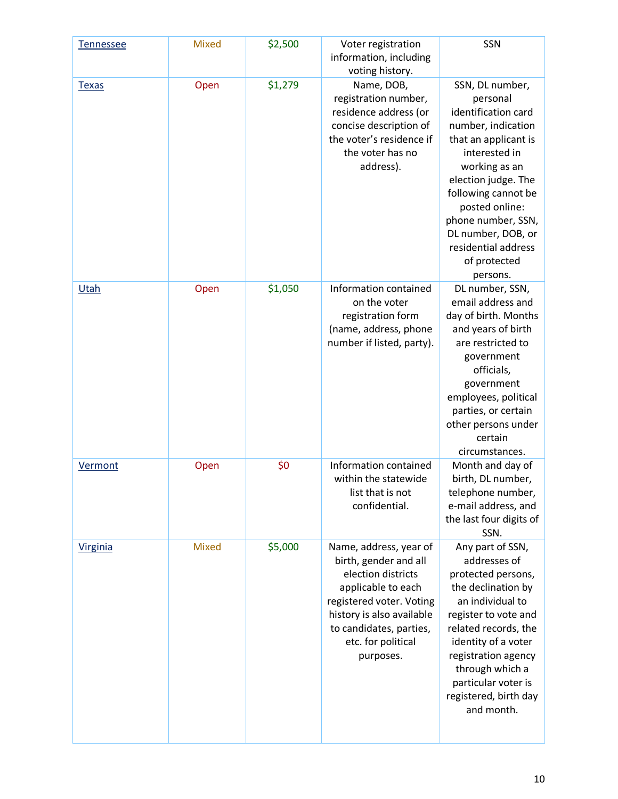| Tennessee       | <b>Mixed</b> | \$2,500 | Voter registration<br>information, including<br>voting history.                                                                                                                                                    | SSN                                                                                                                                                                                                                                                                                               |
|-----------------|--------------|---------|--------------------------------------------------------------------------------------------------------------------------------------------------------------------------------------------------------------------|---------------------------------------------------------------------------------------------------------------------------------------------------------------------------------------------------------------------------------------------------------------------------------------------------|
| <b>Texas</b>    | Open         | \$1,279 | Name, DOB,<br>registration number,<br>residence address (or<br>concise description of<br>the voter's residence if<br>the voter has no<br>address).                                                                 | SSN, DL number,<br>personal<br>identification card<br>number, indication<br>that an applicant is<br>interested in<br>working as an<br>election judge. The<br>following cannot be<br>posted online:<br>phone number, SSN,<br>DL number, DOB, or<br>residential address<br>of protected<br>persons. |
| Utah            | Open         | \$1,050 | Information contained<br>on the voter<br>registration form<br>(name, address, phone<br>number if listed, party).                                                                                                   | DL number, SSN,<br>email address and<br>day of birth. Months<br>and years of birth<br>are restricted to<br>government<br>officials,<br>government<br>employees, political<br>parties, or certain<br>other persons under<br>certain<br>circumstances.                                              |
| Vermont         | Open         | \$0     | Information contained<br>within the statewide<br>list that is not<br>confidential.                                                                                                                                 | Month and day of<br>birth, DL number,<br>telephone number,<br>e-mail address, and<br>the last four digits of<br>SSN.                                                                                                                                                                              |
| <b>Virginia</b> | <b>Mixed</b> | \$5,000 | Name, address, year of<br>birth, gender and all<br>election districts<br>applicable to each<br>registered voter. Voting<br>history is also available<br>to candidates, parties,<br>etc. for political<br>purposes. | Any part of SSN,<br>addresses of<br>protected persons,<br>the declination by<br>an individual to<br>register to vote and<br>related records, the<br>identity of a voter<br>registration agency<br>through which a<br>particular voter is<br>registered, birth day<br>and month.                   |